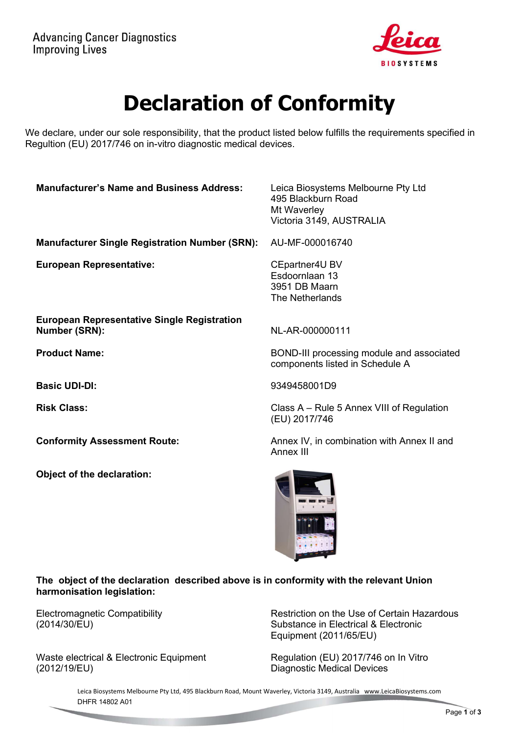

# Declaration of Conformity

We declare, under our sole responsibility, that the product listed below fulfills the requirements specified in Regultion (EU) 2017/746 on in-vitro diagnostic medical devices.

| <b>Manufacturer's Name and Business Address:</b>                           | Leica Biosystems Melbourne Pty Ltd<br>495 Blackburn Road<br>Mt Waverley      |
|----------------------------------------------------------------------------|------------------------------------------------------------------------------|
|                                                                            | Victoria 3149, AUSTRALIA                                                     |
| <b>Manufacturer Single Registration Number (SRN):</b>                      | AU-MF-000016740                                                              |
| <b>European Representative:</b>                                            | CEpartner4U BV<br>Esdoornlaan 13<br>3951 DB Maarn<br>The Netherlands         |
| <b>European Representative Single Registration</b><br><b>Number (SRN):</b> | NL-AR-000000111                                                              |
| <b>Product Name:</b>                                                       | BOND-III processing module and associated<br>components listed in Schedule A |
| <b>Basic UDI-DI:</b>                                                       | 9349458001D9                                                                 |
| <b>Risk Class:</b>                                                         | Class A – Rule 5 Annex VIII of Regulation<br>(EU) 2017/746                   |
| <b>Conformity Assessment Route:</b>                                        | Annex IV, in combination with Annex II and<br>Annex III                      |
| Object of the declaration:                                                 |                                                                              |

#### The object of the declaration described above is in conformity with the relevant Union harmonisation legislation:

Electromagnetic Compatibility (2014/30/EU)

Waste electrical & Electronic Equipment (2012/19/EU)

Restriction on the Use of Certain Hazardous Substance in Electrical & Electronic Equipment (2011/65/EU)

Regulation (EU) 2017/746 on In Vitro Diagnostic Medical Devices

Leica Biosystems Melbourne Pty Ltd, 495 Blackburn Road, Mount Waverley, Victoria 3149, Australia www.LeicaBiosystems.com DHFR 14802 A01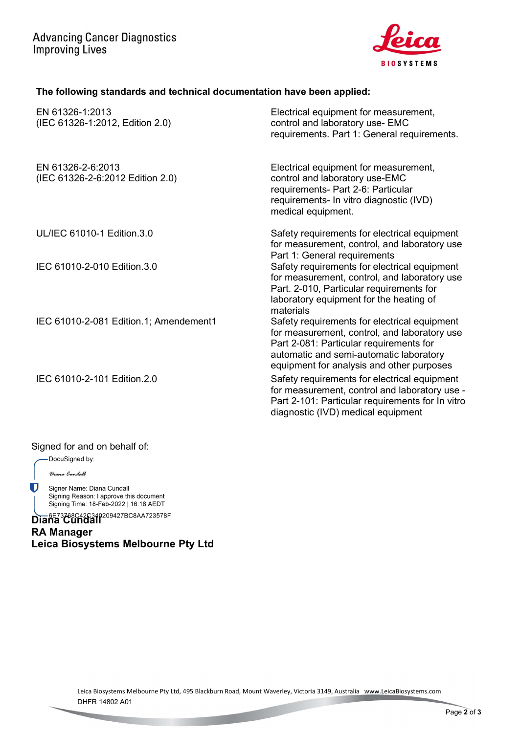

## The following standards and technical documentation have been applied:

| EN 61326-1:2013<br>(IEC 61326-1:2012, Edition 2.0)    | Electrical equipment for measurement,<br>control and laboratory use- EMC<br>requirements. Part 1: General requirements.                                                                                                         |
|-------------------------------------------------------|---------------------------------------------------------------------------------------------------------------------------------------------------------------------------------------------------------------------------------|
| EN 61326-2-6:2013<br>(IEC 61326-2-6:2012 Edition 2.0) | Electrical equipment for measurement,<br>control and laboratory use-EMC<br>requirements- Part 2-6: Particular<br>requirements- In vitro diagnostic (IVD)<br>medical equipment.                                                  |
| UL/IEC 61010-1 Edition.3.0                            | Safety requirements for electrical equipment<br>for measurement, control, and laboratory use<br>Part 1: General requirements                                                                                                    |
| IEC 61010-2-010 Edition.3.0                           | Safety requirements for electrical equipment<br>for measurement, control, and laboratory use<br>Part. 2-010, Particular requirements for<br>laboratory equipment for the heating of<br>materials                                |
| IEC 61010-2-081 Edition.1; Amendement1                | Safety requirements for electrical equipment<br>for measurement, control, and laboratory use<br>Part 2-081: Particular requirements for<br>automatic and semi-automatic laboratory<br>equipment for analysis and other purposes |
| IEC 61010-2-101 Edition.2.0                           | Safety requirements for electrical equipment<br>for measurement, control and laboratory use -<br>Part 2-101: Particular requirements for In vitro<br>diagnostic (IVD) medical equipment                                         |

#### Signed for and on behalf of:

DocuSigned by:

Diana Cundall

Ū Signer Name: Diana Cundall Signing Reason: I approve this document<br>Signing Time: 18-Feb-2022 | 16:18 AEDT

Diana Cundall<sup>209427BC8AA723578F</sup> RA Manager Leica Biosystems Melbourne Pty Ltd